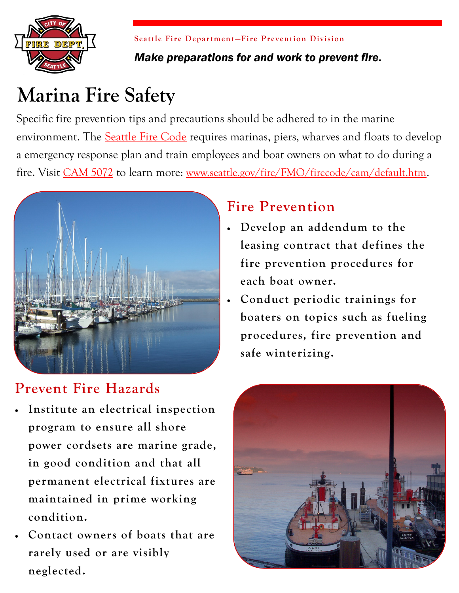

**Seattle Fire Department–Fire Prevention Division** *Make preparations for and work to prevent fire.*

# **Marina Fire Safety**

Specific fire prevention tips and precautions should be adhered to in the marine environment. The [Seattle Fire Code](http://www.seattle.gov/fire/fmo/firecode/firecode.htm) requires marinas, piers, wharves and floats to develop a emergency response plan and train employees and boat owners on what to do during a fire. Visit [CAM 5072](http://www.seattle.gov/fire/FMO/firecode/cam/5072CAMMarinaPlans.pdf) to learn more: [www.seattle.gov/fire/FMO/firecode/cam/default.htm](http://www.seattle.gov/fire/FMO/firecode/cam/default.htm).



## **Prevent Fire Hazards**

- **Institute an electrical inspection program to ensure all shore power cordsets are marine grade, in good condition and that all permanent electrical fixtures are maintained in prime working condition.**
- **Contact owners of boats that are rarely used or are visibly neglected.**

## **Fire Prevention**

- **Develop an addendum to the leasing contract that defines the fire prevention procedures for each boat owner.**
- **Conduct periodic trainings for boaters on topics such as fueling procedures, fire prevention and safe winterizing.**